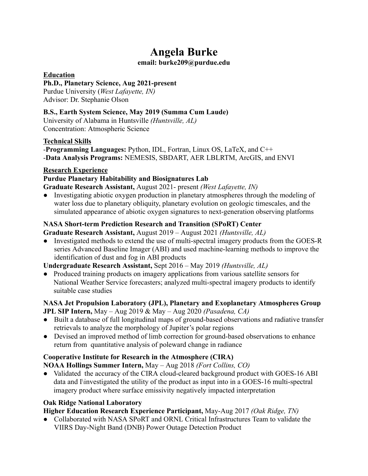# **Angela Burke**

#### **email: burke209@purdue.edu**

## **Education**

## **Ph.D., Planetary Science, Aug 2021-present**

Purdue University (*West Lafayette, IN)* Advisor: Dr. Stephanie Olson

## **B.S., Earth System Science, May 2019 (Summa Cum Laude)**

University of Alabama in Huntsville *(Huntsville, AL)* Concentration: Atmospheric Science

## **Technical Skills**

-**Programming Languages:** Python, IDL, Fortran, Linux OS, LaTeX, and C++ -**Data Analysis Programs:** NEMESIS, SBDART, AER LBLRTM, ArcGIS, and ENVI

## **Research Experience**

# **Purdue Planetary Habitability and Biosignatures Lab**

**Graduate Research Assistant,** August 2021- present *(West Lafayette, IN)*

Investigating abiotic oxygen production in planetary atmospheres through the modeling of water loss due to planetary obliquity, planetary evolution on geologic timescales, and the simulated appearance of abiotic oxygen signatures to next-generation observing platforms

# **NASA Short-term Prediction Research and Transition (SPoRT) Center**

**Graduate Research Assistant,** August 2019 – August 2021 *(Huntsville, AL)*

• Investigated methods to extend the use of multi-spectral imagery products from the GOES-R series Advanced Baseline Imager (ABI) and used machine-learning methods to improve the identification of dust and fog in ABI products

# **Undergraduate Research Assistant,** Sept 2016 – May 2019 *(Huntsville, AL)*

• Produced training products on imagery applications from various satellite sensors for National Weather Service forecasters; analyzed multi-spectral imagery products to identify suitable case studies

# **NASA Jet Propulsion Laboratory (JPL), Planetary and Exoplanetary Atmospheres Group JPL SIP Intern,** May – Aug 2019 & May – Aug 2020 *(Pasadena, CA)*

- Built a database of full longitudinal maps of ground-based observations and radiative transfer retrievals to analyze the morphology of Jupiter's polar regions
- Devised an improved method of limb correction for ground-based observations to enhance return from quantitative analysis of poleward change in radiance

# **Cooperative Institute for Research in the Atmosphere (CIRA)**

**NOAA Hollings Summer Intern,** May – Aug 2018 *(Fort Collins, CO)*

• Validated the accuracy of the CIRA cloud-cleared background product with GOES-16 ABI data and I\investigated the utility of the product as input into in a GOES-16 multi-spectral imagery product where surface emissivity negatively impacted interpretation

# **Oak Ridge National Laboratory**

# **Higher Education Research Experience Participant,** May-Aug 2017 *(Oak Ridge, TN)*

● Collaborated with NASA SPoRT and ORNL Critical Infrastructures Team to validate the VIIRS Day-Night Band (DNB) Power Outage Detection Product